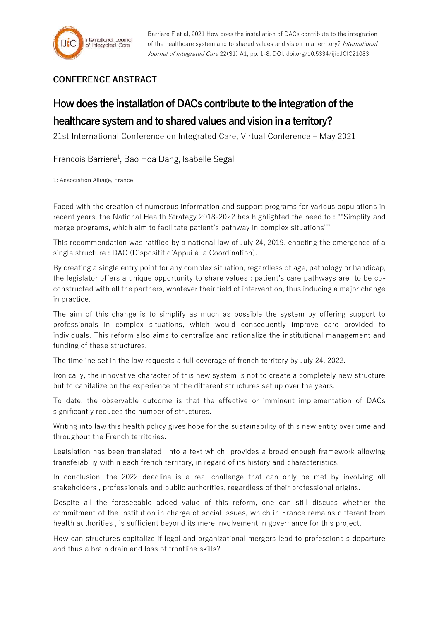## **CONFERENCE ABSTRACT**

## **How does the installation of DACs contribute to the integration of the**

## **healthcare system and to shared values and vision in a territory?**

21st International Conference on Integrated Care, Virtual Conference – May 2021

Francois Barriere<sup>1</sup>, Bao Hoa Dang, Isabelle Segall

1: Association Alliage, France

Faced with the creation of numerous information and support programs for various populations in recent years, the National Health Strategy 2018-2022 has highlighted the need to : ""Simplify and merge programs, which aim to facilitate patient's pathway in complex situations"".

This recommendation was ratified by a national law of July 24, 2019, enacting the emergence of a single structure : DAC (Dispositif d'Appui à la Coordination).

By creating a single entry point for any complex situation, regardless of age, pathology or handicap, the legislator offers a unique opportunity to share values : patient's care pathways are to be coconstructed with all the partners, whatever their field of intervention, thus inducing a major change in practice.

The aim of this change is to simplify as much as possible the system by offering support to professionals in complex situations, which would consequently improve care provided to individuals. This reform also aims to centralize and rationalize the institutional management and funding of these structures.

The timeline set in the law requests a full coverage of french territory by July 24, 2022.

Ironically, the innovative character of this new system is not to create a completely new structure but to capitalize on the experience of the different structures set up over the years.

To date, the observable outcome is that the effective or imminent implementation of DACs significantly reduces the number of structures.

Writing into law this health policy gives hope for the sustainability of this new entity over time and throughout the French territories.

Legislation has been translated into a text which provides a broad enough framework allowing transferabiliy within each french territory, in regard of its history and characteristics.

In conclusion, the 2022 deadline is a real challenge that can only be met by involving all stakeholders , professionals and public authorities, regardless of their professional origins.

Despite all the foreseeable added value of this reform, one can still discuss whether the commitment of the institution in charge of social issues, which in France remains different from health authorities , is sufficient beyond its mere involvement in governance for this project.

How can structures capitalize if legal and organizational mergers lead to professionals departure and thus a brain drain and loss of frontline skills?